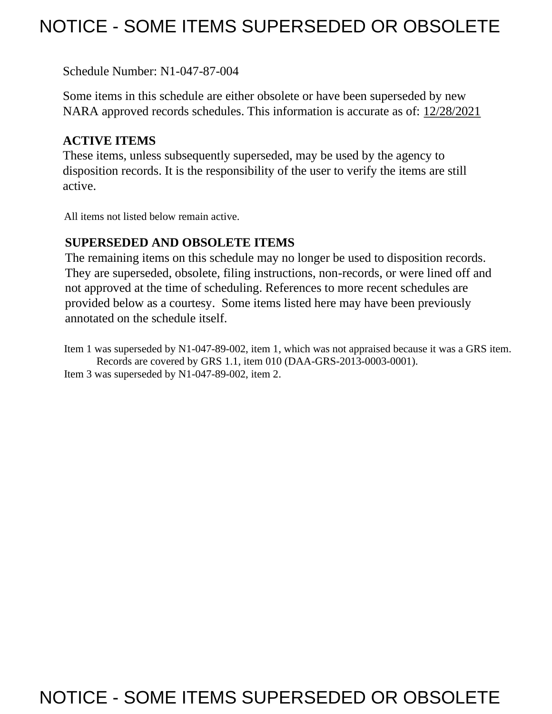# NOTICE - SOME ITEMS SUPERSEDED OR OBSOLETE

Schedule Number: N1-047-87-004

 Some items in this schedule are either obsolete or have been superseded by new NARA approved records schedules. This information is accurate as of: 12/28/2021

# **ACTIVE ITEMS**

 These items, unless subsequently superseded, may be used by the agency to disposition records. It is the responsibility of the user to verify the items are still active.

All items not listed below remain active.

### **SUPERSEDED AND OBSOLETE ITEMS**

 The remaining items on this schedule may no longer be used to disposition records. not approved at the time of scheduling. References to more recent schedules are provided below as a courtesy. Some items listed here may have been previously They are superseded, obsolete, filing instructions, non-records, or were lined off and annotated on the schedule itself.

Item 1 was superseded by N1-047-89-002, item 1, which was not appraised because it was a GRS item. Records are covered by GRS 1.1, item 010 (DAA-GRS-2013-0003-0001). Item 3 was superseded by N1-047-89-002, item 2.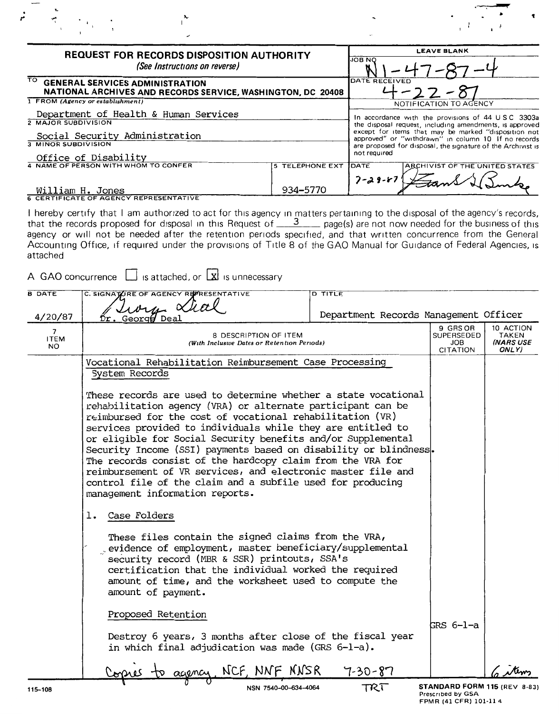| <b>REQUEST FOR RECORDS DISPOSITION AUTHORITY</b><br>(See Instructions on reverse) |                        | <b>LEAVE BLANK</b><br><b>JOB NO</b>                                                                         |  |  |
|-----------------------------------------------------------------------------------|------------------------|-------------------------------------------------------------------------------------------------------------|--|--|
|                                                                                   |                        |                                                                                                             |  |  |
| 1 FROM (Agency or establishment)                                                  |                        | NOTIFICATION TO AGENCY                                                                                      |  |  |
| Department of Health & Human Services                                             |                        | In accordance with the provisions of 44 USC 3303a                                                           |  |  |
| 2 MAJOR SUBDIVISION                                                               |                        | the disposal request, including amendments, is approved                                                     |  |  |
| Social Security Administration                                                    |                        | except for items that may be marked "disposition not<br>approved" or "withdrawn" in column 10 If no records |  |  |
| 3 MINOR SUBDIVISION                                                               |                        | are proposed for disposal, the signature of the Archivist is                                                |  |  |
| Office of Disability                                                              |                        | not required                                                                                                |  |  |
| 4 NAME OF PERSON WITH WHOM TO CONFER                                              | <b>5 TELEPHONE EXT</b> | <b>ARCHIVIST OF THE UNITED STATES</b><br>DATE                                                               |  |  |
|                                                                                   |                        | $7 - 29 - 57$                                                                                               |  |  |
| William H. Jones                                                                  | 934-5770               |                                                                                                             |  |  |
| <b>6 CERTIFICATE OF AGENCY REPRESENTATIVE</b>                                     |                        |                                                                                                             |  |  |

I hereby certify that I am authorized to act for this agency in matters pertaining to the disposal of the agency's records, that the records proposed for disposal in this Request of  $\frac{3}{2}$  page(s) are not now needed fo agency or will not be needed after the retention periods specified, and that written concurrence from the General<br>Accounting Office, if required under the provisions of Title 8 of the GAO Manual for Guidance of Federal Age attached

A GAO concurrence  $\Box$  is attached, or  $\Box$  is unnecessary

| <b>B</b> DATE                                  | C. SIGNATURE OF AGENCY REFRESENTATIVE                                                                                                                                                                                                                                                                                                                                                                                                                                                                                                                                                                                        | <b>D TITLE</b>                        |                                                   |                                          |
|------------------------------------------------|------------------------------------------------------------------------------------------------------------------------------------------------------------------------------------------------------------------------------------------------------------------------------------------------------------------------------------------------------------------------------------------------------------------------------------------------------------------------------------------------------------------------------------------------------------------------------------------------------------------------------|---------------------------------------|---------------------------------------------------|------------------------------------------|
| 4/20/87                                        | hory Xial<br>Dr. George Deal                                                                                                                                                                                                                                                                                                                                                                                                                                                                                                                                                                                                 | Department Records Management Officer |                                                   |                                          |
| $\overline{\phantom{a}}$<br><b>ITEM</b><br>NO. | 8 DESCRIPTION OF ITEM<br>(With Inclusive Dates or Retention Periods)                                                                                                                                                                                                                                                                                                                                                                                                                                                                                                                                                         |                                       | 9 GRS OR<br><b>SUPERSEDED</b><br>JOB<br>CITATION  | 10 ACTION<br>TAKEN<br>(NARS USE<br>ONLY) |
|                                                | Vocational Rehabilitation Reimbursement Case Processing<br>System Records                                                                                                                                                                                                                                                                                                                                                                                                                                                                                                                                                    |                                       |                                                   |                                          |
|                                                | These records are used to determine whether a state vocational<br>rehabilitation agency (VRA) or alternate participant can be<br>reimbursed for the cost of vocational rehabilitation (VR)<br>services provided to individuals while they are entitled to<br>or eligible for Social Security benefits and/or Supplemental<br>Security Income (SSI) payments based on disability or blindness.<br>The records consist of the hardcopy claim from the VRA for<br>reimbursement of VR services, and electronic master file and<br>control file of the claim and a subfile used for producing<br>management information reports. |                                       |                                                   |                                          |
|                                                | Case Folders<br>ı.                                                                                                                                                                                                                                                                                                                                                                                                                                                                                                                                                                                                           |                                       |                                                   |                                          |
|                                                | These files contain the signed claims from the VRA,<br>evidence of employment, master beneficiary/supplemental<br>security record (MBR & SSR) printouts, SSA's<br>certification that the individual worked the required<br>amount of time, and the worksheet used to compute the<br>amount of payment.                                                                                                                                                                                                                                                                                                                       |                                       |                                                   |                                          |
|                                                | Proposed Retention<br>Destroy 6 years, 3 months after close of the fiscal year                                                                                                                                                                                                                                                                                                                                                                                                                                                                                                                                               |                                       | GRS 6-1-a                                         |                                          |
|                                                | in which final adjudication was made (GRS 6-1-a).                                                                                                                                                                                                                                                                                                                                                                                                                                                                                                                                                                            |                                       |                                                   |                                          |
|                                                | agency, NCF, NNF NNSR                                                                                                                                                                                                                                                                                                                                                                                                                                                                                                                                                                                                        | 7-30-87                               |                                                   |                                          |
| 115-108                                        | NSN 7540-00-634-4064                                                                                                                                                                                                                                                                                                                                                                                                                                                                                                                                                                                                         | TRT                                   | STANDARD FORM 115 (REV 8-83)<br>Prescribed by GSA |                                          |

FPMR (41 CFR) 101-11 4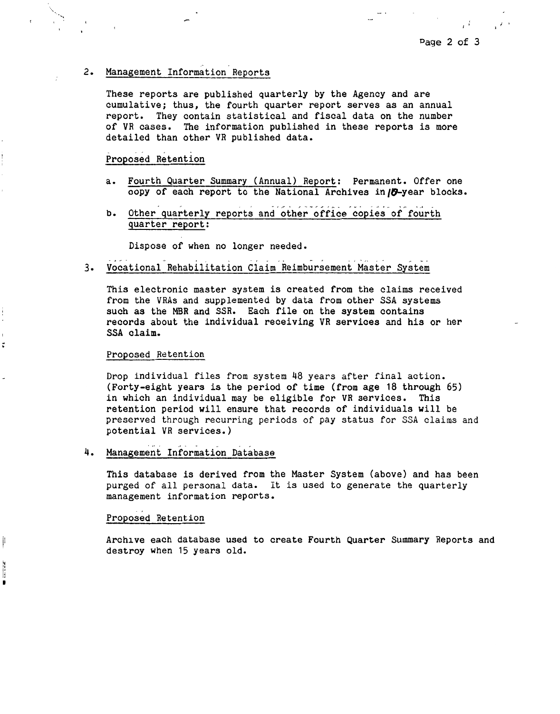$\mathbf{r}$ <sup>1</sup>

## 2. Management Information Reports

These reports are published quarterly by the Agency and are cumulative; thus, the fourth quarter report serves as an annual report. They contain statistical and fiscal data on the number of VR cases. The information published in these reports is more detailed than other VR published data.

#### Proposed Retention

- a. Fourth Quarter Summary (Annual) Report: Permanent. Offer one copy of each report to the National Archives in **70**-year blocks.
- b. Other quarterly reports and other office copies of fourth quarter report:

Dispose of when no longer needed.

3. ... . - - , ~ ~ . ... <sup>~</sup> Vocational Rehabilitation Claim Reimbursement Master System

This electronic master system *is* created from the claims received from the VRAs and supplemented by data from other SSA systems such as the MBR and SSR. Each file on the system contains records about the individual receiving VR services and his or her SSA claim.

#### Proposed Retention

Drop individual files from system 48 years after final action. (Forty-eight years is the period of time (from age 18 through 65) in which an individual may be eligible for VR services. This retention period will ensure that records of individuals will be preserved through recurring periods of pay status for SSA claims and potential VR services.)

### 4. Management Information Database

This database is derived from the Master System (above) and has been purged of all personal data. It is used to generate the quarterly management information reports.

#### Proposed Retention

Archive each database used to create Fourth Quarter Summary Reports and destroy when 15 years old.

Ħ л

t